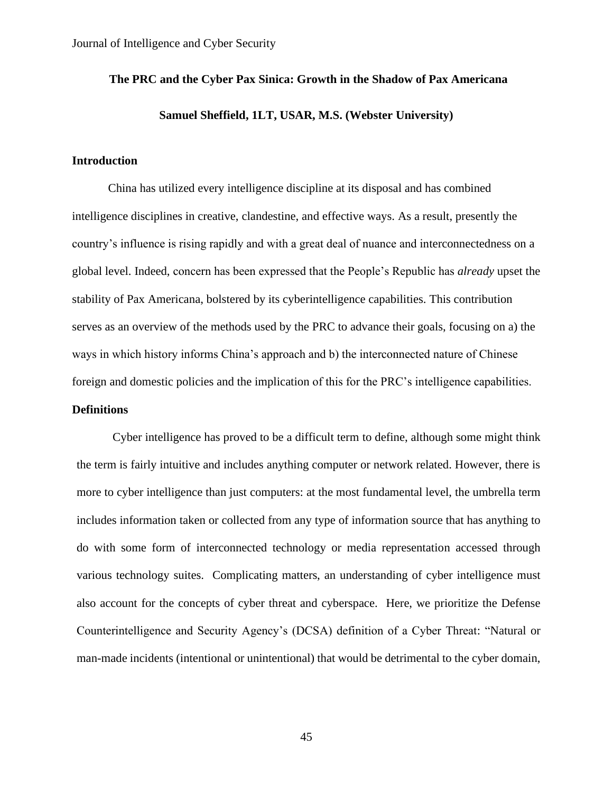# **The PRC and the Cyber Pax Sinica: Growth in the Shadow of Pax Americana Samuel Sheffield, 1LT, USAR, M.S. (Webster University)**

### **Introduction**

China has utilized every intelligence discipline at its disposal and has combined intelligence disciplines in creative, clandestine, and effective ways. As a result, presently the country's influence is rising rapidly and with a great deal of nuance and interconnectedness on a global level. Indeed, concern has been expressed that the People's Republic has *already* upset the stability of Pax Americana, bolstered by its cyberintelligence capabilities. This contribution serves as an overview of the methods used by the PRC to advance their goals, focusing on a) the ways in which history informs China's approach and b) the interconnected nature of Chinese foreign and domestic policies and the implication of this for the PRC's intelligence capabilities. **Definitions**

Cyber intelligence has proved to be a difficult term to define, although some might think the term is fairly intuitive and includes anything computer or network related. However, there is more to cyber intelligence than just computers: at the most fundamental level, the umbrella term includes information taken or collected from any type of information source that has anything to do with some form of interconnected technology or media representation accessed through various technology suites. Complicating matters, an understanding of cyber intelligence must also account for the concepts of cyber threat and cyberspace. Here, we prioritize the Defense Counterintelligence and Security Agency's (DCSA) definition of a Cyber Threat: "Natural or man-made incidents (intentional or unintentional) that would be detrimental to the cyber domain,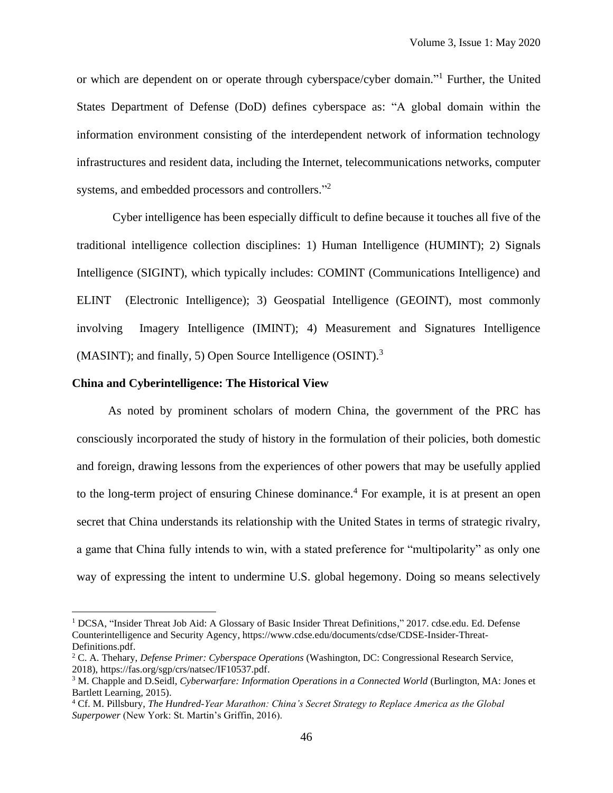or which are dependent on or operate through cyberspace/cyber domain."<sup>1</sup> Further, the United States Department of Defense (DoD) defines cyberspace as: "A global domain within the information environment consisting of the interdependent network of information technology infrastructures and resident data, including the Internet, telecommunications networks, computer systems, and embedded processors and controllers."<sup>2</sup>

Cyber intelligence has been especially difficult to define because it touches all five of the traditional intelligence collection disciplines: 1) Human Intelligence (HUMINT); 2) Signals Intelligence (SIGINT), which typically includes: COMINT (Communications Intelligence) and ELINT (Electronic Intelligence); 3) Geospatial Intelligence (GEOINT), most commonly involving Imagery Intelligence (IMINT); 4) Measurement and Signatures Intelligence (MASINT); and finally, 5) Open Source Intelligence (OSINT).<sup>3</sup>

#### **China and Cyberintelligence: The Historical View**

As noted by prominent scholars of modern China, the government of the PRC has consciously incorporated the study of history in the formulation of their policies, both domestic and foreign, drawing lessons from the experiences of other powers that may be usefully applied to the long-term project of ensuring Chinese dominance.<sup>4</sup> For example, it is at present an open secret that China understands its relationship with the United States in terms of strategic rivalry, a game that China fully intends to win, with a stated preference for "multipolarity" as only one way of expressing the intent to undermine U.S. global hegemony. Doing so means selectively

<sup>&</sup>lt;sup>1</sup> DCSA, "Insider Threat Job Aid: A Glossary of Basic Insider Threat Definitions," 2017. cdse.edu. Ed. Defense Counterintelligence and Security Agency, https://www.cdse.edu/documents/cdse/CDSE-Insider-Threat-Definitions.pdf.

<sup>2</sup> C. A. Thehary, *Defense Primer: Cyberspace Operations* (Washington, DC: Congressional Research Service, 2018), [https://fas.org/sgp/crs/natsec/IF10537.pdf.](https://fas.org/sgp/crs/natsec/IF10537.pdf)

<sup>&</sup>lt;sup>3</sup> M. Chapple and D.Seidl, *Cyberwarfare: Information Operations in a Connected World* (Burlington, MA: Jones et Bartlett Learning, 2015).

<sup>4</sup> Cf. M. Pillsbury, *The Hundred-Year Marathon: China's Secret Strategy to Replace America as the Global Superpower* (New York: St. Martin's Griffin, 2016).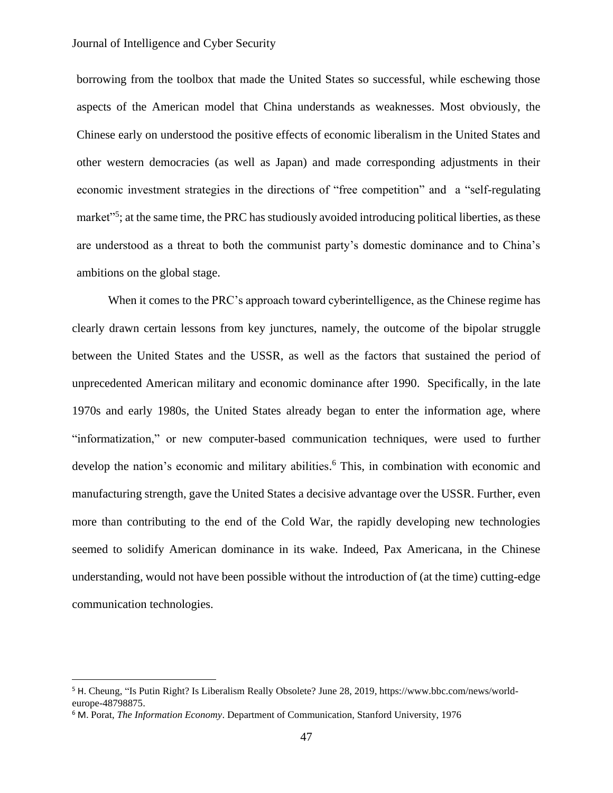borrowing from the toolbox that made the United States so successful, while eschewing those aspects of the American model that China understands as weaknesses. Most obviously, the Chinese early on understood the positive effects of economic liberalism in the United States and other western democracies (as well as Japan) and made corresponding adjustments in their economic investment strategies in the directions of "free competition" and a "self-regulating market"<sup>5</sup>; at the same time, the PRC has studiously avoided introducing political liberties, as these are understood as a threat to both the communist party's domestic dominance and to China's ambitions on the global stage.

When it comes to the PRC's approach toward cyberintelligence, as the Chinese regime has clearly drawn certain lessons from key junctures, namely, the outcome of the bipolar struggle between the United States and the USSR, as well as the factors that sustained the period of unprecedented American military and economic dominance after 1990. Specifically, in the late 1970s and early 1980s, the United States already began to enter the information age, where "informatization," or new computer-based communication techniques, were used to further develop the nation's economic and military abilities. <sup>6</sup> This, in combination with economic and manufacturing strength, gave the United States a decisive advantage over the USSR. Further, even more than contributing to the end of the Cold War, the rapidly developing new technologies seemed to solidify American dominance in its wake. Indeed, Pax Americana, in the Chinese understanding, would not have been possible without the introduction of (at the time) cutting-edge communication technologies.

<sup>5</sup> H. Cheung, "Is Putin Right? Is Liberalism Really Obsolete? June 28, 2019, https://www.bbc.com/news/worldeurope-48798875.

<sup>6</sup> M. Porat, *The Information Economy*. Department of Communication, Stanford University, 1976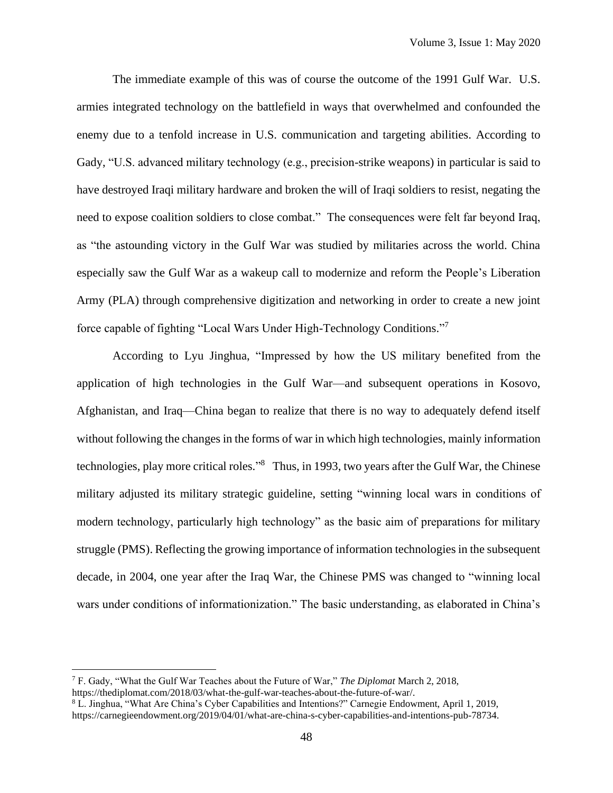The immediate example of this was of course the outcome of the 1991 Gulf War. U.S. armies integrated technology on the battlefield in ways that overwhelmed and confounded the enemy due to a tenfold increase in U.S. communication and targeting abilities. According to Gady, "U.S. advanced military technology (e.g., precision-strike weapons) in particular is said to have destroyed Iraqi military hardware and broken the will of Iraqi soldiers to resist, negating the need to expose coalition soldiers to close combat." The consequences were felt far beyond Iraq, as "the astounding victory in the Gulf War was studied by militaries across the world. China especially saw the Gulf War as a wakeup call to modernize and reform the People's Liberation Army (PLA) through comprehensive digitization and networking in order to create a new joint force capable of fighting "Local Wars Under High-Technology Conditions." 7

According to Lyu Jinghua, "Impressed by how the US military benefited from the application of high technologies in the Gulf War—and subsequent operations in Kosovo, Afghanistan, and Iraq—China began to realize that there is no way to adequately defend itself without following the changes in the forms of war in which high technologies, mainly information technologies, play more critical roles."<sup>8</sup> Thus, in 1993, two years after the Gulf War, the Chinese military adjusted its military strategic guideline, setting "winning local wars in conditions of modern technology, particularly high technology" as the basic aim of preparations for military struggle (PMS). Reflecting the growing importance of information technologies in the subsequent decade, in 2004, one year after the Iraq War, the Chinese PMS was changed to "winning local wars under conditions of informationization." The basic understanding, as elaborated in China's

<sup>7</sup> F. Gady, "What the Gulf War Teaches about the Future of War," *The Diplomat* March 2, 2018, [https://thediplomat.com/2018/03/what-the-gulf-war-teaches-about-the-future-of-war/.](https://thediplomat.com/2018/03/what-the-gulf-war-teaches-about-the-future-of-war/)

<sup>8</sup> L. Jinghua, "What Are China's Cyber Capabilities and Intentions?" Carnegie Endowment, April 1, 2019, [https://carnegieendowment.org/2019/04/01/what-are-china-s-cyber-capabilities-and-intentions-pub-78734.](https://carnegieendowment.org/2019/04/01/what-are-china-s-cyber-capabilities-and-intentions-pub-78734)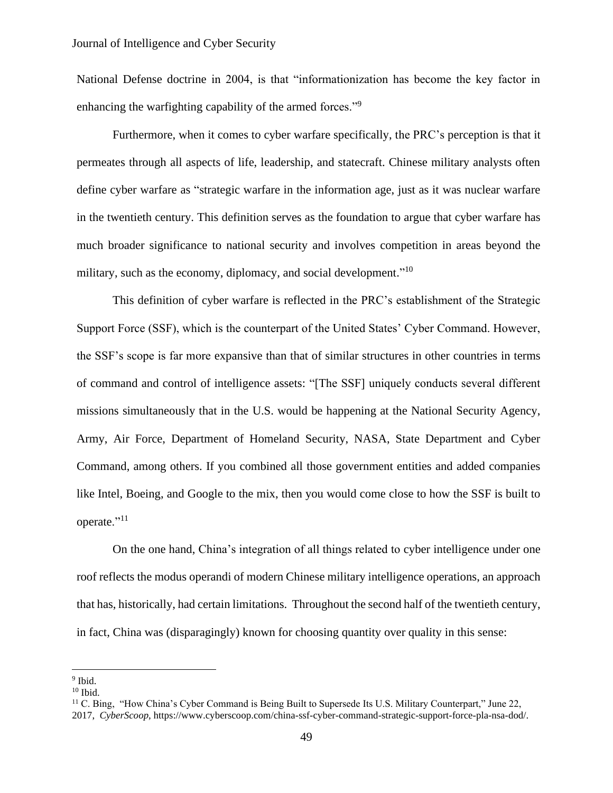National Defense doctrine in 2004, is that "informationization has become the key factor in enhancing the warfighting capability of the armed forces."<sup>9</sup>

Furthermore, when it comes to cyber warfare specifically, the PRC's perception is that it permeates through all aspects of life, leadership, and statecraft. Chinese military analysts often define cyber warfare as "strategic warfare in the information age, just as it was nuclear warfare in the twentieth century. This definition serves as the foundation to argue that cyber warfare has much broader significance to national security and involves competition in areas beyond the military, such as the economy, diplomacy, and social development."<sup>10</sup>

This definition of cyber warfare is reflected in the PRC's establishment of the Strategic Support Force (SSF), which is the counterpart of the United States' Cyber Command. However, the SSF's scope is far more expansive than that of similar structures in other countries in terms of command and control of intelligence assets: "[The SSF] uniquely conducts several different missions simultaneously that in the U.S. would be happening at the National Security Agency, Army, Air Force, Department of Homeland Security, NASA, State Department and Cyber Command, among others. If you combined all those government entities and added companies like Intel, Boeing, and Google to the mix, then you would come close to how the SSF is built to operate."<sup>11</sup>

On the one hand, China's integration of all things related to cyber intelligence under one roof reflects the modus operandi of modern Chinese military intelligence operations, an approach that has, historically, had certain limitations. Throughout the second half of the twentieth century, in fact, China was (disparagingly) known for choosing quantity over quality in this sense:

<sup>&</sup>lt;sup>9</sup> Ibid.

 $10$  Ibid.

<sup>&</sup>lt;sup>11</sup> C. Bing, "How China's Cyber Command is Being Built to Supersede Its U.S. Military Counterpart," June 22, 2017, *CyberScoop*, [https://www.cyberscoop.com/china-ssf-cyber-command-strategic-support-force-pla-nsa-dod/.](https://www.cyberscoop.com/china-ssf-cyber-command-strategic-support-force-pla-nsa-dod/)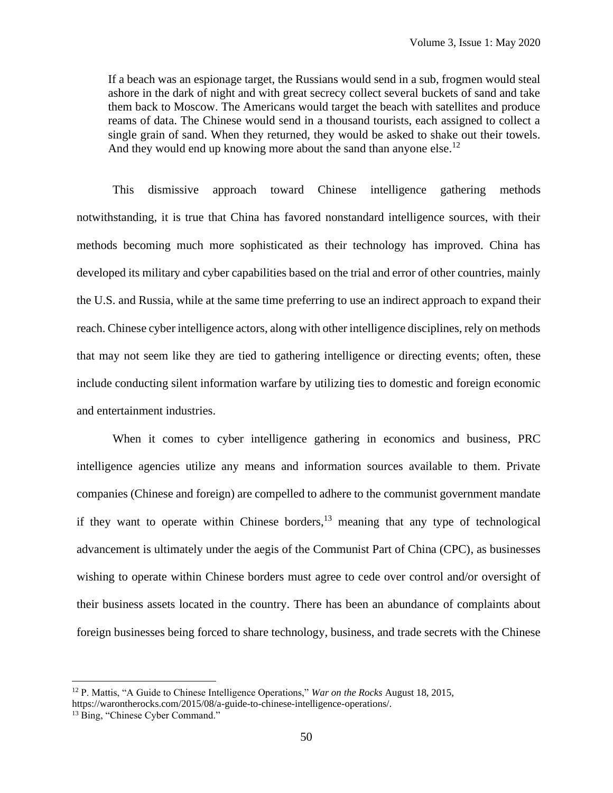If a beach was an espionage target, the Russians would send in a sub, frogmen would steal ashore in the dark of night and with great secrecy collect several buckets of sand and take them back to Moscow. The Americans would target the beach with satellites and produce reams of data. The Chinese would send in a thousand tourists, each assigned to collect a single grain of sand. When they returned, they would be asked to shake out their towels. And they would end up knowing more about the sand than anyone else.<sup>12</sup>

This dismissive approach toward Chinese intelligence gathering methods notwithstanding, it is true that China has favored nonstandard intelligence sources, with their methods becoming much more sophisticated as their technology has improved. China has developed its military and cyber capabilities based on the trial and error of other countries, mainly the U.S. and Russia, while at the same time preferring to use an indirect approach to expand their reach. Chinese cyber intelligence actors, along with other intelligence disciplines, rely on methods that may not seem like they are tied to gathering intelligence or directing events; often, these include conducting silent information warfare by utilizing ties to domestic and foreign economic and entertainment industries.

When it comes to cyber intelligence gathering in economics and business, PRC intelligence agencies utilize any means and information sources available to them. Private companies (Chinese and foreign) are compelled to adhere to the communist government mandate if they want to operate within Chinese borders,  $13$  meaning that any type of technological advancement is ultimately under the aegis of the Communist Part of China (CPC), as businesses wishing to operate within Chinese borders must agree to cede over control and/or oversight of their business assets located in the country. There has been an abundance of complaints about foreign businesses being forced to share technology, business, and trade secrets with the Chinese

<sup>12</sup> P. Mattis, "A Guide to Chinese Intelligence Operations," *War on the Rocks* August 18, 2015, [https://warontherocks.com/2015/08/a-guide-to-chinese-intelligence-operations/.](https://warontherocks.com/2015/08/a-guide-to-chinese-intelligence-operations/)

<sup>&</sup>lt;sup>13</sup> Bing, "Chinese Cyber Command."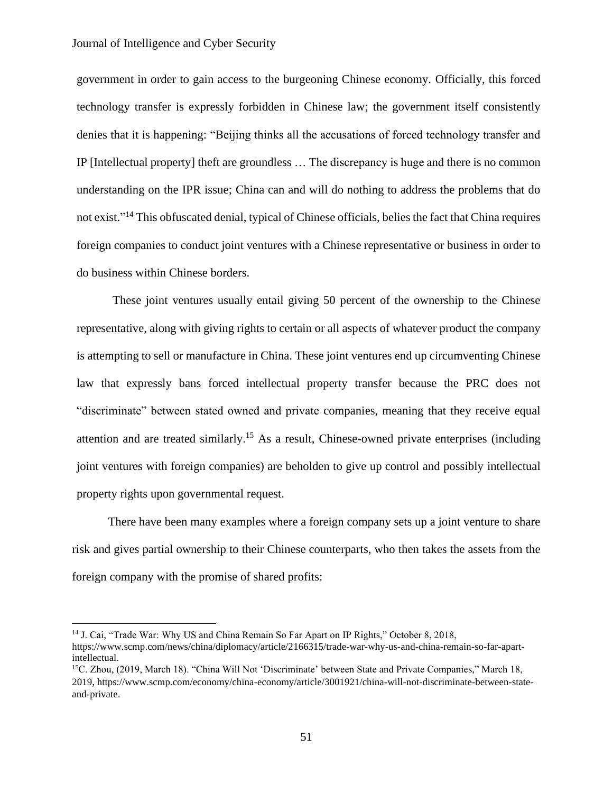government in order to gain access to the burgeoning Chinese economy. Officially, this forced technology transfer is expressly forbidden in Chinese law; the government itself consistently denies that it is happening: "Beijing thinks all the accusations of forced technology transfer and IP [Intellectual property] theft are groundless … The discrepancy is huge and there is no common understanding on the IPR issue; China can and will do nothing to address the problems that do not exist."<sup>14</sup> This obfuscated denial, typical of Chinese officials, belies the fact that China requires foreign companies to conduct joint ventures with a Chinese representative or business in order to do business within Chinese borders.

These joint ventures usually entail giving 50 percent of the ownership to the Chinese representative, along with giving rights to certain or all aspects of whatever product the company is attempting to sell or manufacture in China. These joint ventures end up circumventing Chinese law that expressly bans forced intellectual property transfer because the PRC does not "discriminate" between stated owned and private companies, meaning that they receive equal attention and are treated similarly.<sup>15</sup> As a result, Chinese-owned private enterprises (including joint ventures with foreign companies) are beholden to give up control and possibly intellectual property rights upon governmental request.

There have been many examples where a foreign company sets up a joint venture to share risk and gives partial ownership to their Chinese counterparts, who then takes the assets from the foreign company with the promise of shared profits:

<sup>14</sup> J. Cai, "Trade War: Why US and China Remain So Far Apart on IP Rights," October 8, 2018,

[https://www.scmp.com/news/china/diplomacy/article/2166315/trade-war-why-us-and-china-remain-so-far-apart](https://www.scmp.com/news/china/diplomacy/article/2166315/trade-war-why-us-and-china-remain-so-far-apart-intellectual)[intellectual.](https://www.scmp.com/news/china/diplomacy/article/2166315/trade-war-why-us-and-china-remain-so-far-apart-intellectual)

<sup>15</sup>C. Zhou, (2019, March 18). "China Will Not 'Discriminate' between State and Private Companies," March 18, 2019, [https://www.scmp.com/economy/china-economy/article/3001921/china-will-not-discriminate-between-state](https://www.scmp.com/economy/china-economy/article/3001921/china-will-not-discriminate-between-state-and-private)[and-private.](https://www.scmp.com/economy/china-economy/article/3001921/china-will-not-discriminate-between-state-and-private)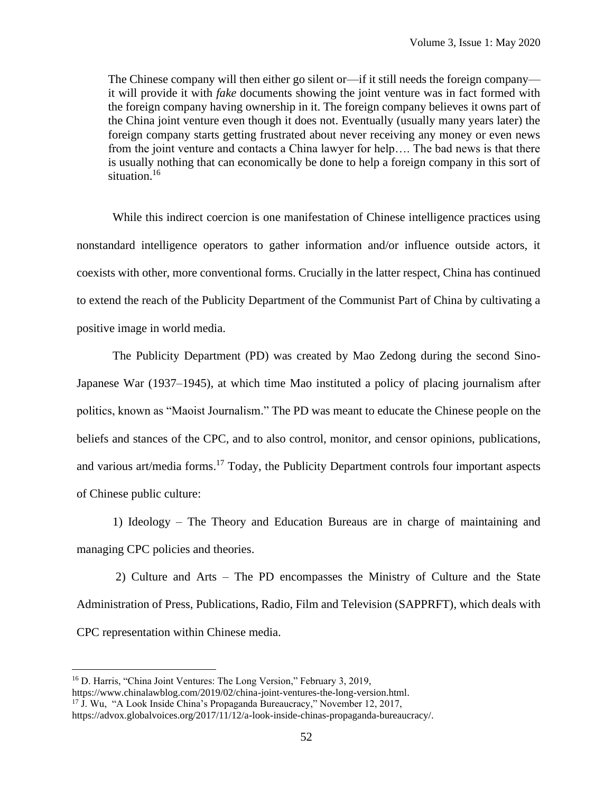The Chinese company will then either go silent or—if it still needs the foreign company it will provide it with *fake* documents showing the joint venture was in fact formed with the foreign company having ownership in it. The foreign company believes it owns part of the China joint venture even though it does not. Eventually (usually many years later) the foreign company starts getting frustrated about never receiving any money or even news from the joint venture and contacts a China lawyer for help…. The bad news is that there is usually nothing that can economically be done to help a foreign company in this sort of situation.<sup>16</sup>

While this indirect coercion is one manifestation of Chinese intelligence practices using nonstandard intelligence operators to gather information and/or influence outside actors, it coexists with other, more conventional forms. Crucially in the latter respect, China has continued to extend the reach of the Publicity Department of the Communist Part of China by cultivating a positive image in world media.

The Publicity Department (PD) was created by Mao Zedong during the second Sino-Japanese War (1937–1945), at which time Mao instituted a policy of placing journalism after politics, known as "Maoist Journalism." The PD was meant to educate the Chinese people on the beliefs and stances of the CPC, and to also control, monitor, and censor opinions, publications, and various art/media forms.<sup>17</sup> Today, the Publicity Department controls four important aspects of Chinese public culture:

1) Ideology – The Theory and Education Bureaus are in charge of maintaining and managing CPC policies and theories.

2) Culture and Arts – The PD encompasses the Ministry of Culture and the State Administration of Press, Publications, Radio, Film and Television (SAPPRFT), which deals with CPC representation within Chinese media.

<sup>&</sup>lt;sup>16</sup> D. Harris, "China Joint Ventures: The Long Version," February 3, 2019,

[https://www.chinalawblog.com/2019/02/china-joint-ventures-the-long-version.html.](https://www.chinalawblog.com/2019/02/china-joint-ventures-the-long-version.html)

<sup>&</sup>lt;sup>17</sup> J. Wu, "A Look Inside China's Propaganda Bureaucracy," November 12, 2017,

[https://advox.globalvoices.org/2017/11/12/a-look-inside-chinas-propaganda-bureaucracy/.](https://advox.globalvoices.org/2017/11/12/a-look-inside-chinas-propaganda-bureaucracy/)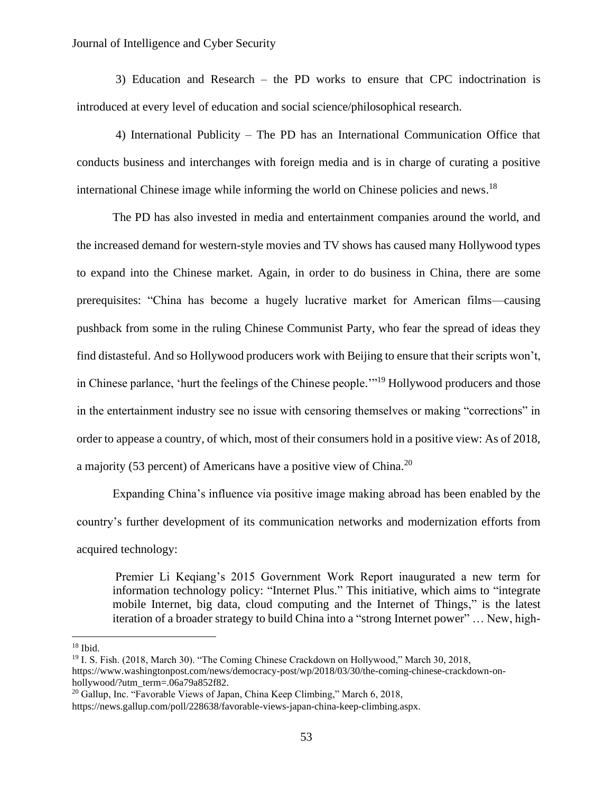3) Education and Research – the PD works to ensure that CPC indoctrination is introduced at every level of education and social science/philosophical research.

4) International Publicity – The PD has an International Communication Office that conducts business and interchanges with foreign media and is in charge of curating a positive international Chinese image while informing the world on Chinese policies and news.<sup>18</sup>

The PD has also invested in media and entertainment companies around the world, and the increased demand for western-style movies and TV shows has caused many Hollywood types to expand into the Chinese market. Again, in order to do business in China, there are some prerequisites: "China has become a hugely lucrative market for American films—causing pushback from some in the ruling Chinese Communist Party, who fear the spread of ideas they find distasteful. And so Hollywood producers work with Beijing to ensure that their scripts won't, in Chinese parlance, 'hurt the feelings of the Chinese people."<sup>19</sup> Hollywood producers and those in the entertainment industry see no issue with censoring themselves or making "corrections" in order to appease a country, of which, most of their consumers hold in a positive view: As of 2018, a majority (53 percent) of Americans have a positive view of China.<sup>20</sup>

Expanding China's influence via positive image making abroad has been enabled by the country's further development of its communication networks and modernization efforts from acquired technology:

Premier Li Keqiang's 2015 Government Work Report inaugurated a new term for information technology policy: "Internet Plus." This initiative, which aims to "integrate mobile Internet, big data, cloud computing and the Internet of Things," is the latest iteration of a broader strategy to build China into a "strong Internet power" … New, high-

 $18$  Ibid.

<sup>19</sup> I. S. Fish. (2018, March 30). "The Coming Chinese Crackdown on Hollywood," March 30, 2018, [https://www.washingtonpost.com/news/democracy-post/wp/2018/03/30/the-coming-chinese-crackdown-on](https://www.washingtonpost.com/news/democracy-post/wp/2018/03/30/the-coming-chinese-crackdown-on-hollywood/?utm_term=.06a79a852f82)[hollywood/?utm\\_term=.06a79a852f82.](https://www.washingtonpost.com/news/democracy-post/wp/2018/03/30/the-coming-chinese-crackdown-on-hollywood/?utm_term=.06a79a852f82)

<sup>&</sup>lt;sup>20</sup> Gallup, Inc. "Favorable Views of Japan, China Keep Climbing," March 6, 2018, [https://news.gallup.com/poll/228638/favorable-views-japan-china-keep-climbing.aspx.](https://news.gallup.com/poll/228638/favorable-views-japan-china-keep-climbing.aspx)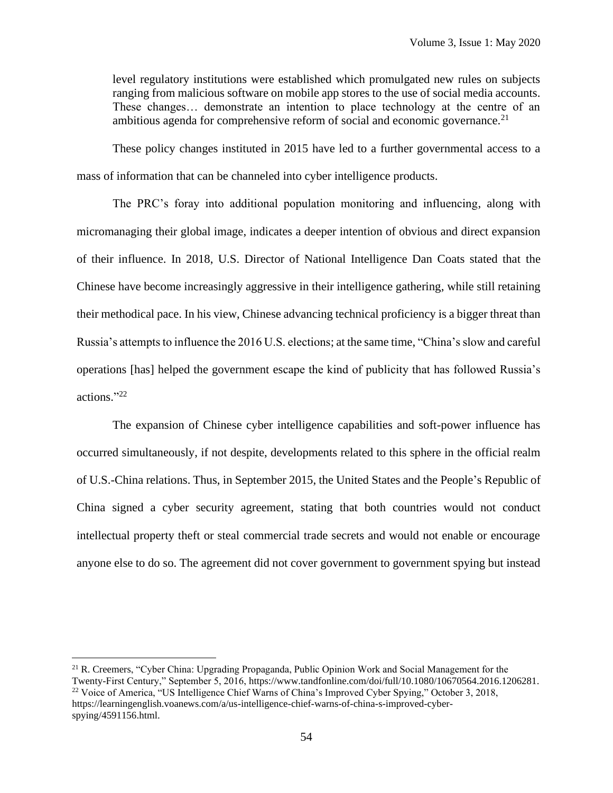level regulatory institutions were established which promulgated new rules on subjects ranging from malicious software on mobile app stores to the use of social media accounts. These changes… demonstrate an intention to place technology at the centre of an ambitious agenda for comprehensive reform of social and economic governance.<sup>21</sup>

These policy changes instituted in 2015 have led to a further governmental access to a mass of information that can be channeled into cyber intelligence products.

The PRC's foray into additional population monitoring and influencing, along with micromanaging their global image, indicates a deeper intention of obvious and direct expansion of their influence. In 2018, U.S. Director of National Intelligence Dan Coats stated that the Chinese have become increasingly aggressive in their intelligence gathering, while still retaining their methodical pace. In his view, Chinese advancing technical proficiency is a bigger threat than Russia's attempts to influence the 2016 U.S. elections; at the same time, "China's slow and careful operations [has] helped the government escape the kind of publicity that has followed Russia's actions." 22

The expansion of Chinese cyber intelligence capabilities and soft-power influence has occurred simultaneously, if not despite, developments related to this sphere in the official realm of U.S.-China relations. Thus, in September 2015, the United States and the People's Republic of China signed a cyber security agreement, stating that both countries would not conduct intellectual property theft or steal commercial trade secrets and would not enable or encourage anyone else to do so. The agreement did not cover government to government spying but instead

<sup>&</sup>lt;sup>21</sup> R. Creemers, "Cyber China: Upgrading Propaganda, Public Opinion Work and Social Management for the Twenty-First Century," September 5, 2016[, https://www.tandfonline.com/doi/full/10.1080/10670564.2016.1206281.](https://www.tandfonline.com/doi/full/10.1080/10670564.2016.1206281) <sup>22</sup> Voice of America, "US Intelligence Chief Warns of China's Improved Cyber Spying," October 3, 2018, [https://learningenglish.voanews.com/a/us-intelligence-chief-warns-of-china-s-improved-cyber](https://learningenglish.voanews.com/a/us-intelligence-chief-warns-of-china-s-improved-cyber-spying/4591156.html)[spying/4591156.html.](https://learningenglish.voanews.com/a/us-intelligence-chief-warns-of-china-s-improved-cyber-spying/4591156.html)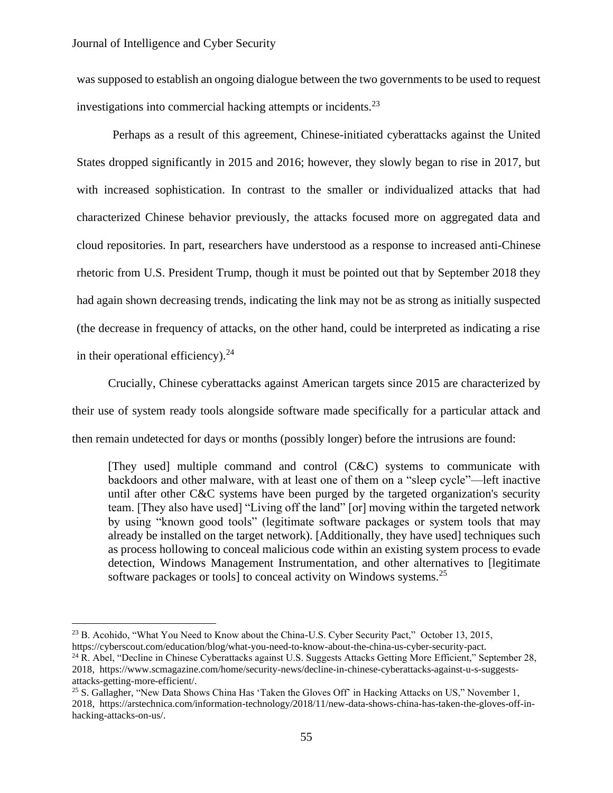was supposed to establish an ongoing dialogue between the two governments to be used to request investigations into commercial hacking attempts or incidents.<sup>23</sup>

Perhaps as a result of this agreement, Chinese-initiated cyberattacks against the United States dropped significantly in 2015 and 2016; however, they slowly began to rise in 2017, but with increased sophistication. In contrast to the smaller or individualized attacks that had characterized Chinese behavior previously, the attacks focused more on aggregated data and cloud repositories. In part, researchers have understood as a response to increased anti-Chinese rhetoric from U.S. President Trump, though it must be pointed out that by September 2018 they had again shown decreasing trends, indicating the link may not be as strong as initially suspected (the decrease in frequency of attacks, on the other hand, could be interpreted as indicating a rise in their operational efficiency).<sup>24</sup>

Crucially, Chinese cyberattacks against American targets since 2015 are characterized by their use of system ready tools alongside software made specifically for a particular attack and then remain undetected for days or months (possibly longer) before the intrusions are found:

[They used] multiple command and control (C&C) systems to communicate with backdoors and other malware, with at least one of them on a "sleep cycle"—left inactive until after other C&C systems have been purged by the targeted organization's security team. [They also have used] "Living off the land" [or] moving within the targeted network by using "known good tools" (legitimate software packages or system tools that may already be installed on the target network). [Additionally, they have used] techniques such as process hollowing to conceal malicious code within an existing system process to evade detection, Windows Management Instrumentation, and other alternatives to [legitimate software packages or tools] to conceal activity on Windows systems.<sup>25</sup>

<sup>&</sup>lt;sup>23</sup> B. Acohido, "What You Need to Know about the China-U.S. Cyber Security Pact," October 13, 2015, [https://cyberscout.com/education/blog/what-you-need-to-know-about-the-china-us-cyber-security-pact.](https://cyberscout.com/education/blog/what-you-need-to-know-about-the-china-us-cyber-security-pact)

<sup>&</sup>lt;sup>24</sup> R. Abel, "Decline in Chinese Cyberattacks against U.S. Suggests Attacks Getting More Efficient," September 28, 2018, [https://www.scmagazine.com/home/security-news/decline-in-chinese-cyberattacks-against-u-s-suggests](https://www.scmagazine.com/home/security-news/decline-in-chinese-cyberattacks-against-u-s-suggests-attacks-getting-more-efficient/)[attacks-getting-more-efficient/.](https://www.scmagazine.com/home/security-news/decline-in-chinese-cyberattacks-against-u-s-suggests-attacks-getting-more-efficient/)

<sup>&</sup>lt;sup>25</sup> S. Gallagher, "New Data Shows China Has 'Taken the Gloves Off' in Hacking Attacks on US," November 1, 2018, [https://arstechnica.com/information-technology/2018/11/new-data-shows-china-has-taken-the-gloves-off-in](https://arstechnica.com/information-technology/2018/11/new-data-shows-china-has-taken-the-gloves-off-in-hacking-attacks-on-us/)[hacking-attacks-on-us/.](https://arstechnica.com/information-technology/2018/11/new-data-shows-china-has-taken-the-gloves-off-in-hacking-attacks-on-us/)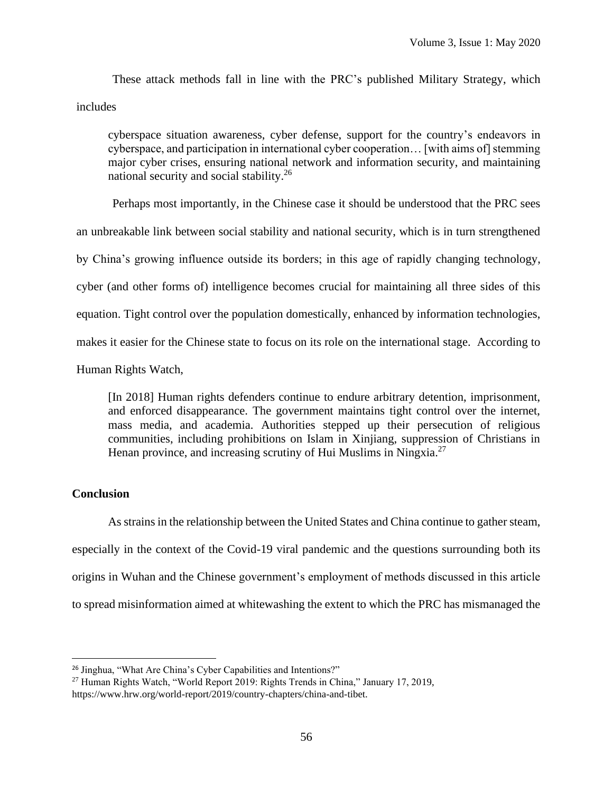These attack methods fall in line with the PRC's published Military Strategy, which includes

cyberspace situation awareness, cyber defense, support for the country's endeavors in cyberspace, and participation in international cyber cooperation… [with aims of] stemming major cyber crises, ensuring national network and information security, and maintaining national security and social stability.<sup>26</sup>

Perhaps most importantly, in the Chinese case it should be understood that the PRC sees an unbreakable link between social stability and national security, which is in turn strengthened by China's growing influence outside its borders; in this age of rapidly changing technology, cyber (and other forms of) intelligence becomes crucial for maintaining all three sides of this equation. Tight control over the population domestically, enhanced by information technologies, makes it easier for the Chinese state to focus on its role on the international stage. According to Human Rights Watch,

[In 2018] Human rights defenders continue to endure arbitrary detention, imprisonment, and enforced disappearance. The government maintains tight control over the internet, mass media, and academia. Authorities stepped up their persecution of religious communities, including prohibitions on Islam in Xinjiang, suppression of Christians in Henan province, and increasing scrutiny of Hui Muslims in Ningxia.<sup>27</sup>

## **Conclusion**

As strains in the relationship between the United States and China continue to gather steam, especially in the context of the Covid-19 viral pandemic and the questions surrounding both its origins in Wuhan and the Chinese government's employment of methods discussed in this article to spread misinformation aimed at whitewashing the extent to which the PRC has mismanaged the

<sup>26</sup> Jinghua, "What Are China's Cyber Capabilities and Intentions?"

<sup>27</sup> Human Rights Watch, "World Report 2019: Rights Trends in China," January 17, 2019, [https://www.hrw.org/world-report/2019/country-chapters/china-and-](https://www.hrw.org/world-report/2019/country-chapters/china-and)tibet.